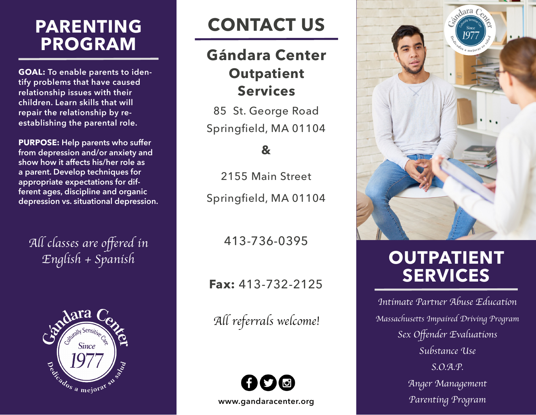# **PARENTING PROGRAM**

**GOAL: To enable parents to identify problems that have caused relationship issues with their children. Learn skills that will repair the relationship by reestablishing the parental role.** 

**PURPOSE: Help parents who suffer from depression and/or anxiety and show how it affects his/her role as a parent. Develop techniques for appropriate expectations for different ages, discipline and organic depression vs. situational depression.**

All classes are offered in English + Spanish



# **CONTACT US**

#### **Gándara Center Outpatient Services**

85 St. George Road Springfield, MA 01104

#### **&**

2155 Main Street Springfield, MA 01104

413-736-0395

**Fax:** 413-732-2125

All referrals welcome!





# **OUTPATIENT SERVICES**

*Intimate Partner Abuse Education Massachusetts Impaired Driving Program* Sex Offender Evaluations *Substance Use S.O.A.P. Anger Management Parenting Program*